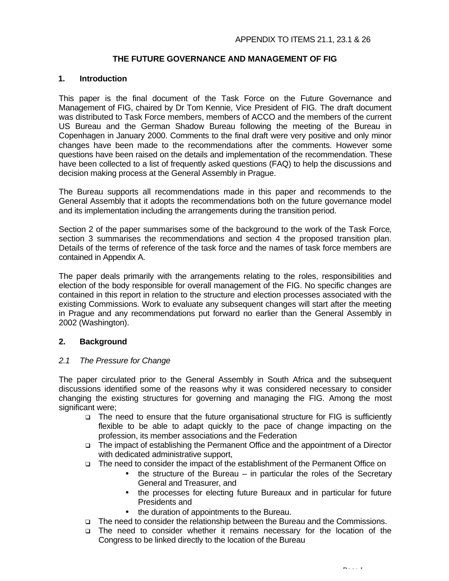# **THE FUTURE GOVERNANCE AND MANAGEMENT OF FIG**

#### **1. Introduction**

This paper is the final document of the Task Force on the Future Governance and Management of FIG, chaired by Dr Tom Kennie, Vice President of FIG. The draft document was distributed to Task Force members, members of ACCO and the members of the current US Bureau and the German Shadow Bureau following the meeting of the Bureau in Copenhagen in January 2000. Comments to the final draft were very positive and only minor changes have been made to the recommendations after the comments. However some questions have been raised on the details and implementation of the recommendation. These have been collected to a list of frequently asked questions (FAQ) to help the discussions and decision making process at the General Assembly in Prague.

The Bureau supports all recommendations made in this paper and recommends to the General Assembly that it adopts the recommendations both on the future governance model and its implementation including the arrangements during the transition period.

Section 2 of the paper summarises some of the background to the work of the Task Force, section 3 summarises the recommendations and section 4 the proposed transition plan. Details of the terms of reference of the task force and the names of task force members are contained in Appendix A.

The paper deals primarily with the arrangements relating to the roles, responsibilities and election of the body responsible for overall management of the FIG. No specific changes are contained in this report in relation to the structure and election processes associated with the existing Commissions. Work to evaluate any subsequent changes will start after the meeting in Prague and any recommendations put forward no earlier than the General Assembly in 2002 (Washington).

### **2. Background**

#### *2.1 The Pressure for Change*

The paper circulated prior to the General Assembly in South Africa and the subsequent discussions identified some of the reasons why it was considered necessary to consider changing the existing structures for governing and managing the FIG. Among the most significant were;

- q The need to ensure that the future organisational structure for FIG is sufficiently flexible to be able to adapt quickly to the pace of change impacting on the profession, its member associations and the Federation
- q The impact of establishing the Permanent Office and the appointment of a Director with dedicated administrative support,
- q The need to consider the impact of the establishment of the Permanent Office on
	- $\bullet$  the structure of the Bureau in particular the roles of the Secretary General and Treasurer, and
	- the processes for electing future Bureaux and in particular for future Presidents and

*Page 1*

- the duration of appointments to the Bureau.
- q The need to consider the relationship between the Bureau and the Commissions.
- q The need to consider whether it remains necessary for the location of the Congress to be linked directly to the location of the Bureau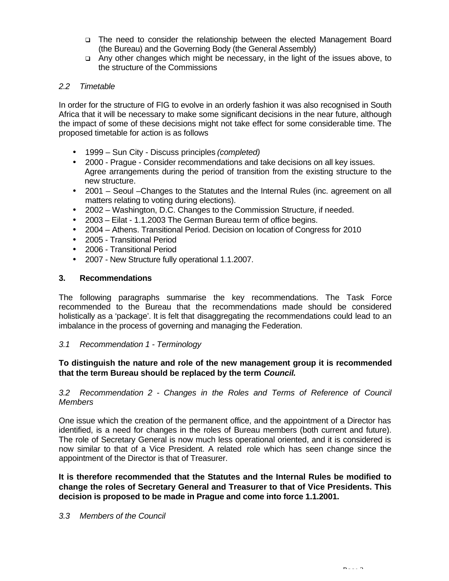- q The need to consider the relationship between the elected Management Board (the Bureau) and the Governing Body (the General Assembly)
- q Any other changes which might be necessary, in the light of the issues above, to the structure of the Commissions

# *2.2 Timetable*

In order for the structure of FIG to evolve in an orderly fashion it was also recognised in South Africa that it will be necessary to make some significant decisions in the near future, although the impact of some of these decisions might not take effect for some considerable time. The proposed timetable for action is as follows

- 1999 Sun City Discuss principles *(completed)*
- 2000 Prague Consider recommendations and take decisions on all key issues. Agree arrangements during the period of transition from the existing structure to the new structure.
- 2001 Seoul –Changes to the Statutes and the Internal Rules (inc. agreement on all matters relating to voting during elections).
- 2002 Washington, D.C. Changes to the Commission Structure, if needed.
- 2003 Eilat 1.1.2003 The German Bureau term of office begins.
- 2004 Athens. Transitional Period. Decision on location of Congress for 2010
- 2005 Transitional Period
- 2006 Transitional Period
- 2007 New Structure fully operational 1.1.2007.

### **3. Recommendations**

The following paragraphs summarise the key recommendations. The Task Force recommended to the Bureau that the recommendations made should be considered holistically as a 'package'. It is felt that disaggregating the recommendations could lead to an imbalance in the process of governing and managing the Federation.

### *3.1 Recommendation 1 - Terminology*

### **To distinguish the nature and role of the new management group it is recommended that the term Bureau should be replaced by the term** *Council.*

### *3.2 Recommendation 2 - Changes in the Roles and Terms of Reference of Council Members*

One issue which the creation of the permanent office, and the appointment of a Director has identified, is a need for changes in the roles of Bureau members (both current and future). The role of Secretary General is now much less operational oriented, and it is considered is now similar to that of a Vice President. A related role which has seen change since the appointment of the Director is that of Treasurer.

**It is therefore recommended that the Statutes and the Internal Rules be modified to change the roles of Secretary General and Treasurer to that of Vice Presidents. This decision is proposed to be made in Prague and come into force 1.1.2001.**

### *3.3 Members of the Council*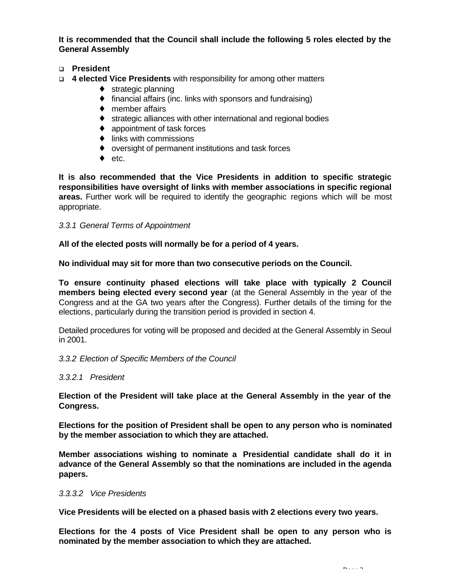**It is recommended that the Council shall include the following 5 roles elected by the General Assembly**

### q **President**

- q **4 elected Vice Presidents** with responsibility for among other matters
	- ♦ strategic planning
	- $\bullet$  financial affairs (inc. links with sponsors and fundraising)
	- ♦ member affairs
	- ♦ strategic alliances with other international and regional bodies
	- ♦ appointment of task forces
	- $\bullet$  links with commissions
	- ♦ oversight of permanent institutions and task forces
	- $\bullet$  etc.

**It is also recommended that the Vice Presidents in addition to specific strategic responsibilities have oversight of links with member associations in specific regional areas.** Further work will be required to identify the geographic regions which will be most appropriate.

### *3.3.1 General Terms of Appointment*

**All of the elected posts will normally be for a period of 4 years.**

**No individual may sit for more than two consecutive periods on the Council.**

**To ensure continuity phased elections will take place with typically 2 Council members being elected every second year** (at the General Assembly in the year of the Congress and at the GA two years after the Congress). Further details of the timing for the elections, particularly during the transition period is provided in section 4.

Detailed procedures for voting will be proposed and decided at the General Assembly in Seoul in 2001.

### *3.3.2 Election of Specific Members of the Council*

### *3.3.2.1 President*

**Election of the President will take place at the General Assembly in the year of the Congress.**

**Elections for the position of President shall be open to any person who is nominated by the member association to which they are attached.**

**Member associations wishing to nominate a Presidential candidate shall do it in advance of the General Assembly so that the nominations are included in the agenda papers.**

#### *3.3.3.2 Vice Presidents*

**Vice Presidents will be elected on a phased basis with 2 elections every two years.**

**Elections for the 4 posts of Vice President shall be open to any person who is nominated by the member association to which they are attached.**

*Page 3*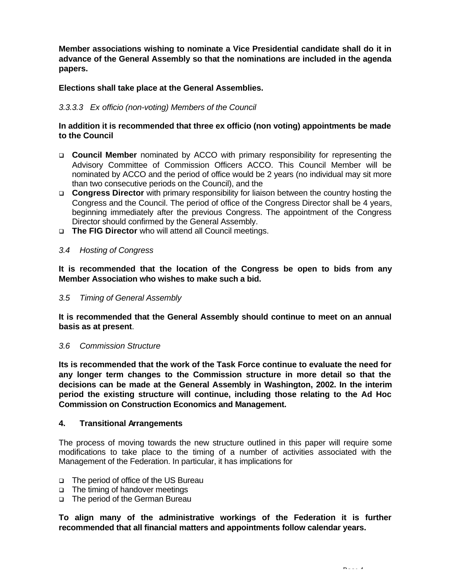**Member associations wishing to nominate a Vice Presidential candidate shall do it in advance of the General Assembly so that the nominations are included in the agenda papers.**

# **Elections shall take place at the General Assemblies.**

# *3.3.3.3 Ex officio (non-voting) Members of the Council*

### **In addition it is recommended that three ex officio (non voting) appointments be made to the Council**

- q **Council Member** nominated by ACCO with primary responsibility for representing the Advisory Committee of Commission Officers ACCO. This Council Member will be nominated by ACCO and the period of office would be 2 years (no individual may sit more than two consecutive periods on the Council), and the
- **Congress Director** with primary responsibility for liaison between the country hosting the Congress and the Council. The period of office of the Congress Director shall be 4 years, beginning immediately after the previous Congress. The appointment of the Congress Director should confirmed by the General Assembly.
- q **The FIG Director** who will attend all Council meetings.

#### *3.4 Hosting of Congress*

**It is recommended that the location of the Congress be open to bids from any Member Association who wishes to make such a bid.**

#### *3.5 Timing of General Assembly*

**It is recommended that the General Assembly should continue to meet on an annual basis as at present**.

#### *3.6 Commission Structure*

**Its is recommended that the work of the Task Force continue to evaluate the need for any longer term changes to the Commission structure in more detail so that the decisions can be made at the General Assembly in Washington, 2002. In the interim period the existing structure will continue, including those relating to the Ad Hoc Commission on Construction Economics and Management.**

#### **4. Transitional Arrangements**

The process of moving towards the new structure outlined in this paper will require some modifications to take place to the timing of a number of activities associated with the Management of the Federation. In particular, it has implications for

- q The period of office of the US Bureau
- q The timing of handover meetings
- q The period of the German Bureau

**To align many of the administrative workings of the Federation it is further recommended that all financial matters and appointments follow calendar years.**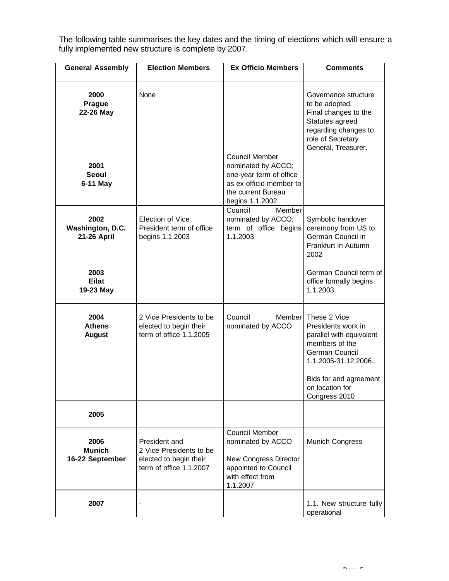The following table summarises the key dates and the timing of elections which will ensure a fully implemented new structure is complete by 2007.

| <b>General Assembly</b>                  | <b>Election Members</b>                                                                       | <b>Ex Officio Members</b>                                                                                                                  | <b>Comments</b>                                                                                                                                                                         |
|------------------------------------------|-----------------------------------------------------------------------------------------------|--------------------------------------------------------------------------------------------------------------------------------------------|-----------------------------------------------------------------------------------------------------------------------------------------------------------------------------------------|
| 2000<br>Prague<br>22-26 May              | None                                                                                          |                                                                                                                                            | Governance structure<br>to be adopted.<br>Final changes to the<br>Statutes agreed<br>regarding changes to<br>role of Secretary<br>General, Treasurer.                                   |
| 2001<br>Seoul<br>6-11 May                |                                                                                               | <b>Council Member</b><br>nominated by ACCO;<br>one-year term of office<br>as ex officio member to<br>the current Bureau<br>begins 1.1.2002 |                                                                                                                                                                                         |
| 2002<br>Washington, D.C.<br>21-26 April  | Election of Vice<br>President term of office<br>begins 1.1.2003                               | Council<br>Member<br>nominated by ACCO;<br>term of office begins<br>1.1.2003                                                               | Symbolic handover<br>ceremony from US to<br>German Council in<br>Frankfurt in Autumn<br>2002                                                                                            |
| 2003<br><b>Eilat</b><br>19-23 May        |                                                                                               |                                                                                                                                            | German Council term of<br>office formally begins<br>1.1.2003.                                                                                                                           |
| 2004<br><b>Athens</b><br><b>August</b>   | 2 Vice Presidents to be<br>elected to begin their<br>term of office 1.1.2005                  | Council<br>Member<br>nominated by ACCO                                                                                                     | These 2 Vice<br>Presidents work in<br>parallel with equivalent<br>members of the<br>German Council<br>1.1.2005-31.12.2006<br>Bids for and agreement<br>on location for<br>Congress 2010 |
| 2005                                     |                                                                                               |                                                                                                                                            |                                                                                                                                                                                         |
| 2006<br><b>Munich</b><br>16-22 September | President and<br>2 Vice Presidents to be<br>elected to begin their<br>term of office 1.1.2007 | <b>Council Member</b><br>nominated by ACCO<br><b>New Congress Director</b><br>appointed to Council<br>with effect from<br>1.1.2007         | <b>Munich Congress</b>                                                                                                                                                                  |
| 2007                                     |                                                                                               |                                                                                                                                            | 1.1. New structure fully<br>operational                                                                                                                                                 |